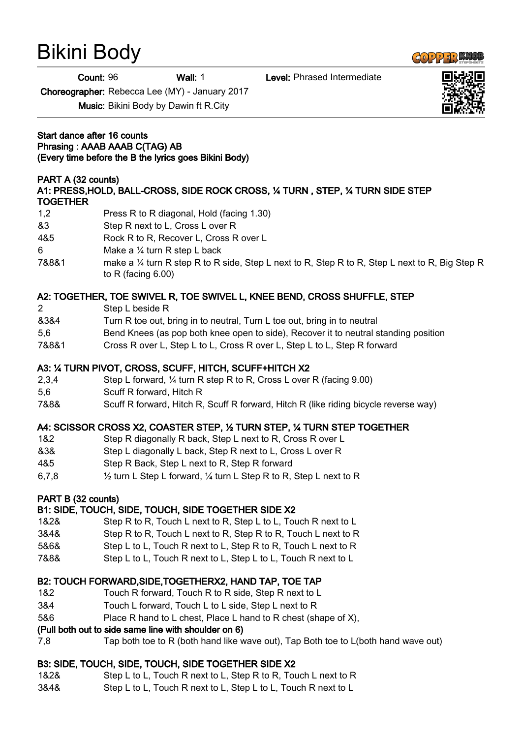# Bikini Body

Count: 96 Wall: 1 Level: Phrased Intermediate

Choreographer: Rebecca Lee (MY) - January 2017

Music: Bikini Body by Dawin ft R.City

Start dance after 16 counts Phrasing : AAAB AAAB C(TAG) AB (Every time before the B the lyrics goes Bikini Body)

# PART A (32 counts)

# A1: PRESS,HOLD, BALL-CROSS, SIDE ROCK CROSS, ¼ TURN , STEP, ¼ TURN SIDE STEP **TOGETHER**

- 1,2 Press R to R diagonal, Hold (facing 1.30)
- &3 Step R next to L, Cross L over R
- 4&5 Rock R to R, Recover L, Cross R over L
- 6 Make a ¼ turn R step L back
- 7&8&1 make a ¼ turn R step R to R side, Step L next to R, Step R to R, Step L next to R, Big Step R to R (facing 6.00)

# A2: TOGETHER, TOE SWIVEL R, TOE SWIVEL L, KNEE BEND, CROSS SHUFFLE, STEP

- 2 Step L beside R
- &3&4 Turn R toe out, bring in to neutral, Turn L toe out, bring in to neutral
- 5,6 Bend Knees (as pop both knee open to side), Recover it to neutral standing position
- 7&8&1 Cross R over L, Step L to L, Cross R over L, Step L to L, Step R forward

## A3: ¼ TURN PIVOT, CROSS, SCUFF, HITCH, SCUFF+HITCH X2

- 2,3,4 Step L forward, ¼ turn R step R to R, Cross L over R (facing 9.00)
- 5,6 Scuff R forward, Hitch R
- 7&8& Scuff R forward, Hitch R, Scuff R forward, Hitch R (like riding bicycle reverse way)

### A4: SCISSOR CROSS X2, COASTER STEP, ½ TURN STEP, ¼ TURN STEP TOGETHER

- 1&2 Step R diagonally R back, Step L next to R, Cross R over L
- &3& Step L diagonally L back, Step R next to L, Cross L over R
- 4&5 Step R Back, Step L next to R, Step R forward
- 6,7,8 ½ turn L Step L forward, ¼ turn L Step R to R, Step L next to R

### PART B (32 counts)

### B1: SIDE, TOUCH, SIDE, TOUCH, SIDE TOGETHER SIDE X2

- 1&2& Step R to R, Touch L next to R, Step L to L, Touch R next to L
- 3&4& Step R to R, Touch L next to R, Step R to R, Touch L next to R
- 5&6& Step L to L, Touch R next to L, Step R to R, Touch L next to R
- 7&8& Step L to L, Touch R next to L, Step L to L, Touch R next to L

# B2: TOUCH FORWARD,SIDE,TOGETHERX2, HAND TAP, TOE TAP

- 1&2 Touch R forward, Touch R to R side, Step R next to L
- 3&4 Touch L forward, Touch L to L side, Step L next to R
- 5&6 Place R hand to L chest, Place L hand to R chest (shape of X),

# (Pull both out to side same line with shoulder on 6)

7,8 Tap both toe to R (both hand like wave out), Tap Both toe to L(both hand wave out)

# B3: SIDE, TOUCH, SIDE, TOUCH, SIDE TOGETHER SIDE X2

- 1&2& Step L to L, Touch R next to L, Step R to R, Touch L next to R
- 3&4& Step L to L, Touch R next to L, Step L to L, Touch R next to L